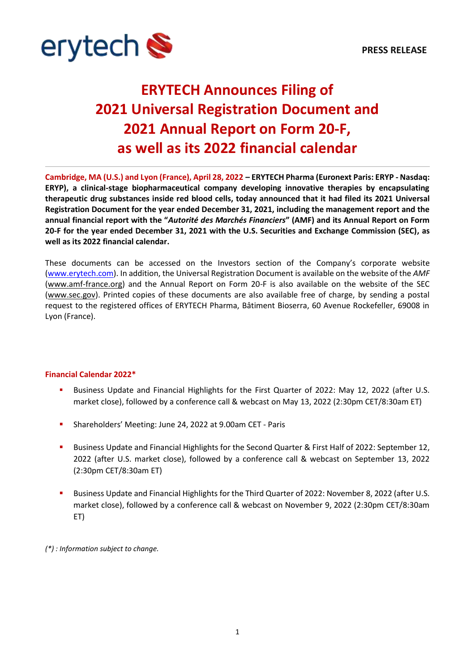

## **ERYTECH Announces Filing of 2021 Universal Registration Document and 2021 Annual Report on Form 20-F, as well as its 2022 financial calendar**

**Cambridge, MA (U.S.) and Lyon (France), April 28, 2022 – ERYTECH Pharma (Euronext Paris: ERYP - Nasdaq: ERYP), a clinical-stage biopharmaceutical company developing innovative therapies by encapsulating therapeutic drug substances inside red blood cells, today announced that it had filed its 2021 Universal Registration Document for the year ended December 31, 2021, including the management report and the annual financial report with the "***Autorité des Marchés Financiers***" (AMF) and its Annual Report on Form 20-F for the year ended December 31, 2021 with the U.S. Securities and Exchange Commission (SEC), as well as its 2022 financial calendar.**

These documents can be accessed on the Investors section of the Company's corporate website [\(www.erytech.com\)](https://erytechcom.sharepoint.com/sites/Communications/Documents%20partages/General/2-%20Review%20process/2022/2022%2004%2029%20-%20PR%20URD%2020F/www.erytech.com). In addition, the Universal Registration Document is available on the website of the *AMF*  [\(www.amf-france.org\)](https://erytechcom.sharepoint.com/sites/Communications/Documents%20partages/General/2-%20Review%20process/2022/2022%2004%2029%20-%20PR%20URD%2020F/www.amf-france.org) and the Annual Report on Form 20-F is also available on the website of the SEC [\(www.sec.gov\)](https://erytechcom.sharepoint.com/sites/Communications/Documents%20partages/General/2-%20Review%20process/2022/2022%2004%2029%20-%20PR%20URD%2020F/www.sec.gov). Printed copies of these documents are also available free of charge, by sending a postal request to the registered offices of ERYTECH Pharma, Bâtiment Bioserra, 60 Avenue Rockefeller, 69008 in Lyon (France).

## **Financial Calendar 2022\***

- Business Update and Financial Highlights for the First Quarter of 2022: May 12, 2022 (after U.S. market close), followed by a conference call & webcast on May 13, 2022 (2:30pm CET/8:30am ET)
- Shareholders' Meeting: June 24, 2022 at 9.00am CET Paris
- Business Update and Financial Highlights for the Second Quarter & First Half of 2022: September 12, 2022 (after U.S. market close), followed by a conference call & webcast on September 13, 2022 (2:30pm CET/8:30am ET)
- **■** Business Update and Financial Highlights for the Third Quarter of 2022: November 8, 2022 (after U.S. market close), followed by a conference call & webcast on November 9, 2022 (2:30pm CET/8:30am ET)

*(\*) : Information subject to change.*